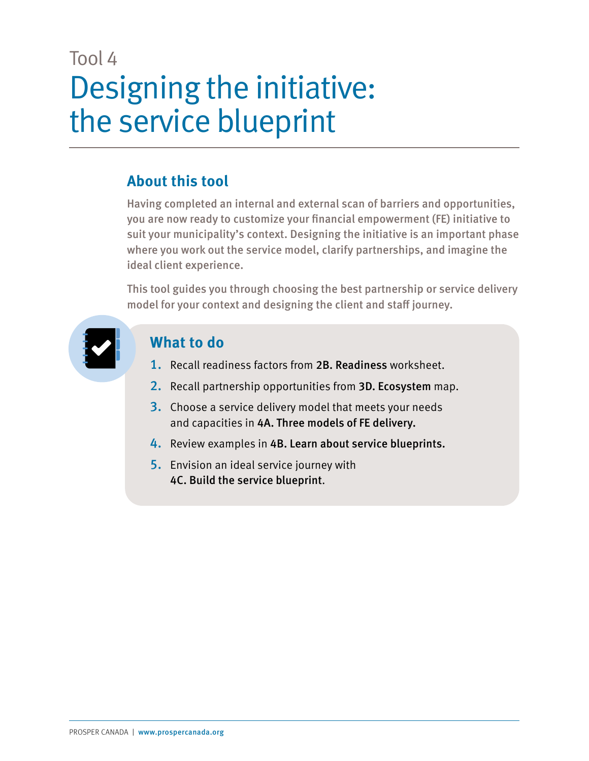### Tool 4 Designing the initiative: the service blueprint

### **About this tool**

Having completed an internal and external scan of barriers and opportunities, you are now ready to customize your financial empowerment (FE) initiative to suit your municipality's context. Designing the initiative is an important phase where you work out the service model, clarify partnerships, and imagine the ideal client experience.

This tool guides you through choosing the best partnership or service delivery model for your context and designing the client and staff journey.



### **What to do**

- 1. Recall readiness factors from 2B. Readiness worksheet.
- 2. Recall partnership opportunities from 3D. Ecosystem map.
- 3. Choose a service delivery model that meets your needs and capacities in 4A. Three models of FE delivery.
- 4. Review examples in 4B. Learn about service blueprints.
- 5. Envision an ideal service journey with 4C. Build the service blueprint.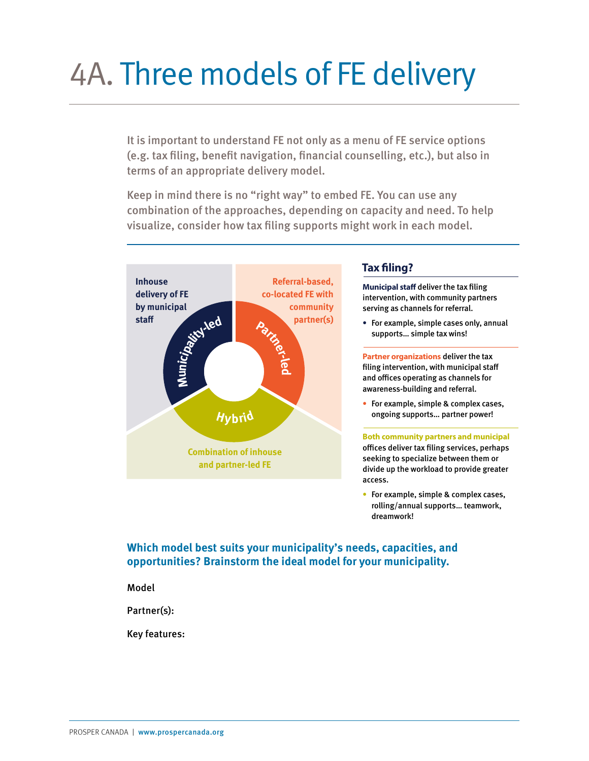## 4A. Three models of FE delivery

It is important to understand FE not only as a menu of FE service options (e.g. tax filing, benefit navigation, financial counselling, etc.), but also in terms of an appropriate delivery model.  $\frac{1}{2}$ nt navigation, financia to provide greater access. cases vunselling,

**and partner-led FE**

Keep in mind there is no "right way" to embed FE. You can use any combination of the approaches, depending on capacity and need. To help visualize, consider how tax filing supports might work in each model.



#### **Tax filing?**

**Municipal staff deliver the tax filing** intervention, with community partners serving as channels for referral.

• For example, simple cases only, annual supports… simple tax wins!

**Partner organizations** deliver the tax filing intervention, with municipal staff and offices operating as channels for awareness-building and referral.

• For example, simple & complex cases, ongoing supports… partner power!

**Both community partners and municipal** offices deliver tax filing services, perhaps seeking to specialize between them or divide up the workload to provide greater access.

• For example, simple & complex cases, rolling/annual supports… teamwork, dreamwork!

**Which model best suits your municipality's needs, capacities, and opportunities? Brainstorm the ideal model for your municipality.**

Model

Partner(s):

Key features: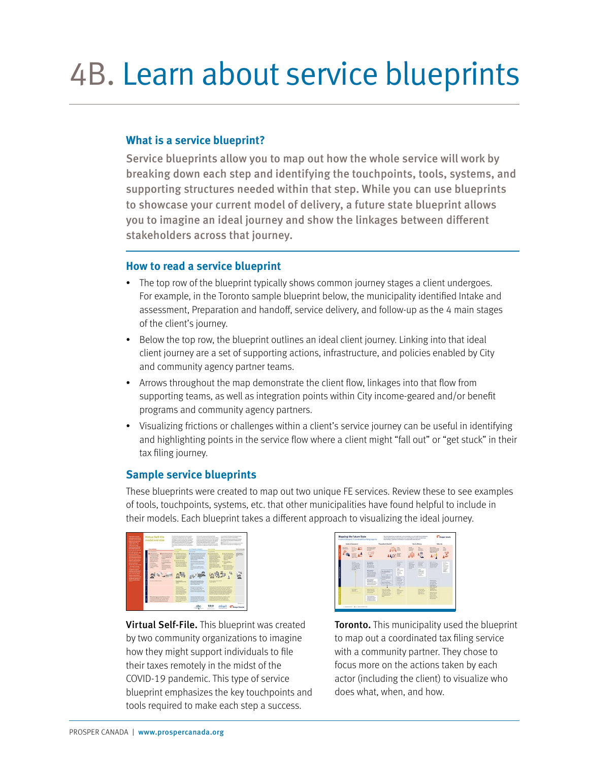### 4B. Learn about service blueprints

#### **What is a service blueprint?**

Service blueprints allow you to map out how the whole service will work by breaking down each step and identifying the touchpoints, tools, systems, and supporting structures needed within that step. While you can use blueprints to showcase your current model of delivery, a future state blueprint allows you to imagine an ideal journey and show the linkages between different stakeholders across that journey.

#### **How to read a service blueprint**

- The top row of the blueprint typically shows common journey stages a client undergoes. For example, in the Toronto sample blueprint below, the municipality identified Intake and assessment, Preparation and handoff, service delivery, and follow-up as the 4 main stages of the client's journey.
- Below the top row, the blueprint outlines an ideal client journey. Linking into that ideal client journey are a set of supporting actions, infrastructure, and policies enabled by City and community agency partner teams.
- Arrows throughout the map demonstrate the client flow, linkages into that flow from supporting teams, as well as integration points within City income-geared and/or benefit programs and community agency partners.
- Visualizing frictions or challenges within a client's service journey can be useful in identifying and highlighting points in the service flow where a client might "fall out" or "get stuck" in their tax filing journey.

#### **Sample service blueprints**

These blueprints were created to map out two unique FE services. Review these to see examples of tools, touchpoints, systems, etc. that other municipalities have found helpful to include in their models. Each blueprint takes a different approach to visualizing the ideal journey.



Virtual Self-File. This blueprint was created by two community organizations to imagine how they might support individuals to file their taxes remotely in the midst of the COVID-19 pandemic. This type of service blueprint emphasizes the key touchpoints and tools required to make each step a success.



**Toronto.** This municipality used the blueprint to map out a coordinated tax filing service with a community partner. They chose to focus more on the actions taken by each actor (including the client) to visualize who does what, when, and how.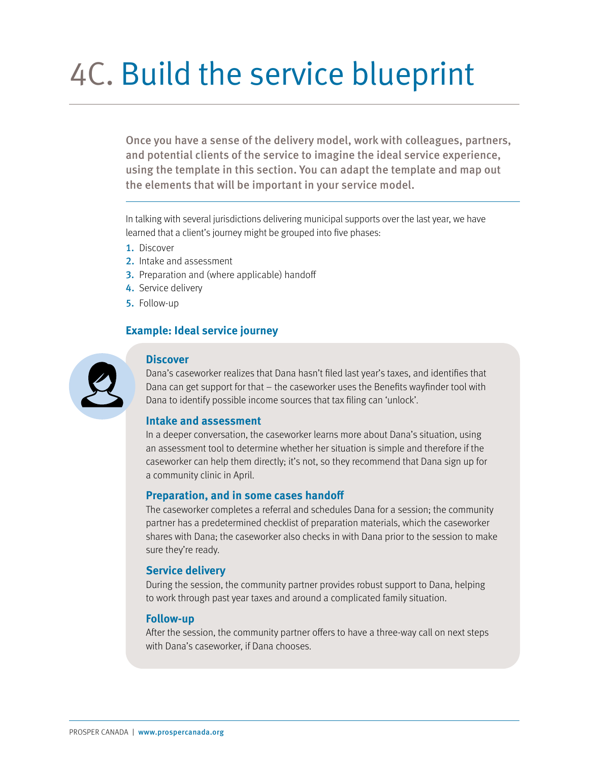# 4C. Build the service blueprint

Once you have a sense of the delivery model, work with colleagues, partners, and potential clients of the service to imagine the ideal service experience, using the template in this section. You can adapt the template and map out the elements that will be important in your service model.

In talking with several jurisdictions delivering municipal supports over the last year, we have learned that a client's journey might be grouped into five phases:

- 1. Discover
- 2. Intake and assessment
- **3.** Preparation and (where applicable) handoff
- 4. Service delivery
- 5. Follow-up

#### **Example: Ideal service journey**



#### **Discover**

Dana's caseworker realizes that Dana hasn't filed last year's taxes, and identifies that Dana can get support for that – the caseworker uses the Benefits wayfinder tool with Dana to identify possible income sources that tax filing can 'unlock'.

#### **Intake and assessment**

In a deeper conversation, the caseworker learns more about Dana's situation, using an assessment tool to determine whether her situation is simple and therefore if the caseworker can help them directly; it's not, so they recommend that Dana sign up for a community clinic in April.

#### **Preparation, and in some cases handoff**

The caseworker completes a referral and schedules Dana for a session; the community partner has a predetermined checklist of preparation materials, which the caseworker shares with Dana; the caseworker also checks in with Dana prior to the session to make sure they're ready.

#### **Service delivery**

During the session, the community partner provides robust support to Dana, helping to work through past year taxes and around a complicated family situation.

#### **Follow-up**

After the session, the community partner offers to have a three-way call on next steps with Dana's caseworker, if Dana chooses.